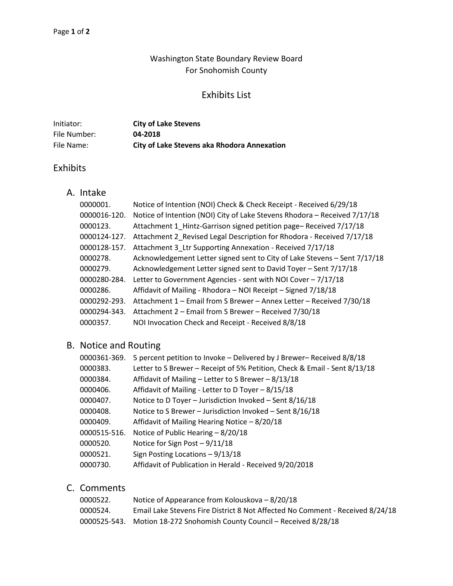## Washington State Boundary Review Board For Snohomish County

#### Exhibits List

| Initiator:   | <b>City of Lake Stevens</b>                 |
|--------------|---------------------------------------------|
| File Number: | 04-2018                                     |
| File Name:   | City of Lake Stevens aka Rhodora Annexation |

## Exhibits

A. Intake

| 0000001.     | Notice of Intention (NOI) Check & Check Receipt - Received 6/29/18        |
|--------------|---------------------------------------------------------------------------|
| 0000016-120. | Notice of Intention (NOI) City of Lake Stevens Rhodora - Received 7/17/18 |
| 0000123.     | Attachment 1 Hintz-Garrison signed petition page-Received 7/17/18         |
| 0000124-127. | Attachment 2 Revised Legal Description for Rhodora - Received 7/17/18     |
| 0000128-157. | Attachment 3 Ltr Supporting Annexation - Received 7/17/18                 |
| 0000278.     | Acknowledgement Letter signed sent to City of Lake Stevens - Sent 7/17/18 |
| 0000279.     | Acknowledgement Letter signed sent to David Toyer - Sent 7/17/18          |
| 0000280-284. | Letter to Government Agencies - sent with NOI Cover - 7/17/18             |
| 0000286.     | Affidavit of Mailing - Rhodora - NOI Receipt - Signed 7/18/18             |
| 0000292-293. | Attachment 1 - Email from S Brewer - Annex Letter - Received 7/30/18      |
| 0000294-343. | Attachment 2 - Email from S Brewer - Received 7/30/18                     |
| 0000357.     | NOI Invocation Check and Receipt - Received 8/8/18                        |

## B. Notice and Routing

| 0000361-369. | 5 percent petition to Invoke - Delivered by J Brewer- Received 8/8/18     |
|--------------|---------------------------------------------------------------------------|
| 0000383.     | Letter to S Brewer - Receipt of 5% Petition, Check & Email - Sent 8/13/18 |
| 0000384.     | Affidavit of Mailing - Letter to S Brewer - 8/13/18                       |
| 0000406.     | Affidavit of Mailing - Letter to D Toyer - 8/15/18                        |
| 0000407.     | Notice to D Toyer - Jurisdiction Invoked - Sent 8/16/18                   |
| 0000408.     | Notice to S Brewer - Jurisdiction Invoked - Sent 8/16/18                  |
| 0000409.     | Affidavit of Mailing Hearing Notice - 8/20/18                             |
| 0000515-516. | Notice of Public Hearing $-8/20/18$                                       |
| 0000520.     | Notice for Sign Post - 9/11/18                                            |
| 0000521.     | Sign Posting Locations $-9/13/18$                                         |
| 0000730.     | Affidavit of Publication in Herald - Received 9/20/2018                   |

## C. Comments

| 0000522. | Notice of Appearance from Kolouskova – 8/20/18                                |
|----------|-------------------------------------------------------------------------------|
| 0000524. | Email Lake Stevens Fire District 8 Not Affected No Comment - Received 8/24/18 |
|          | 0000525-543. Motion 18-272 Snohomish County Council - Received 8/28/18        |